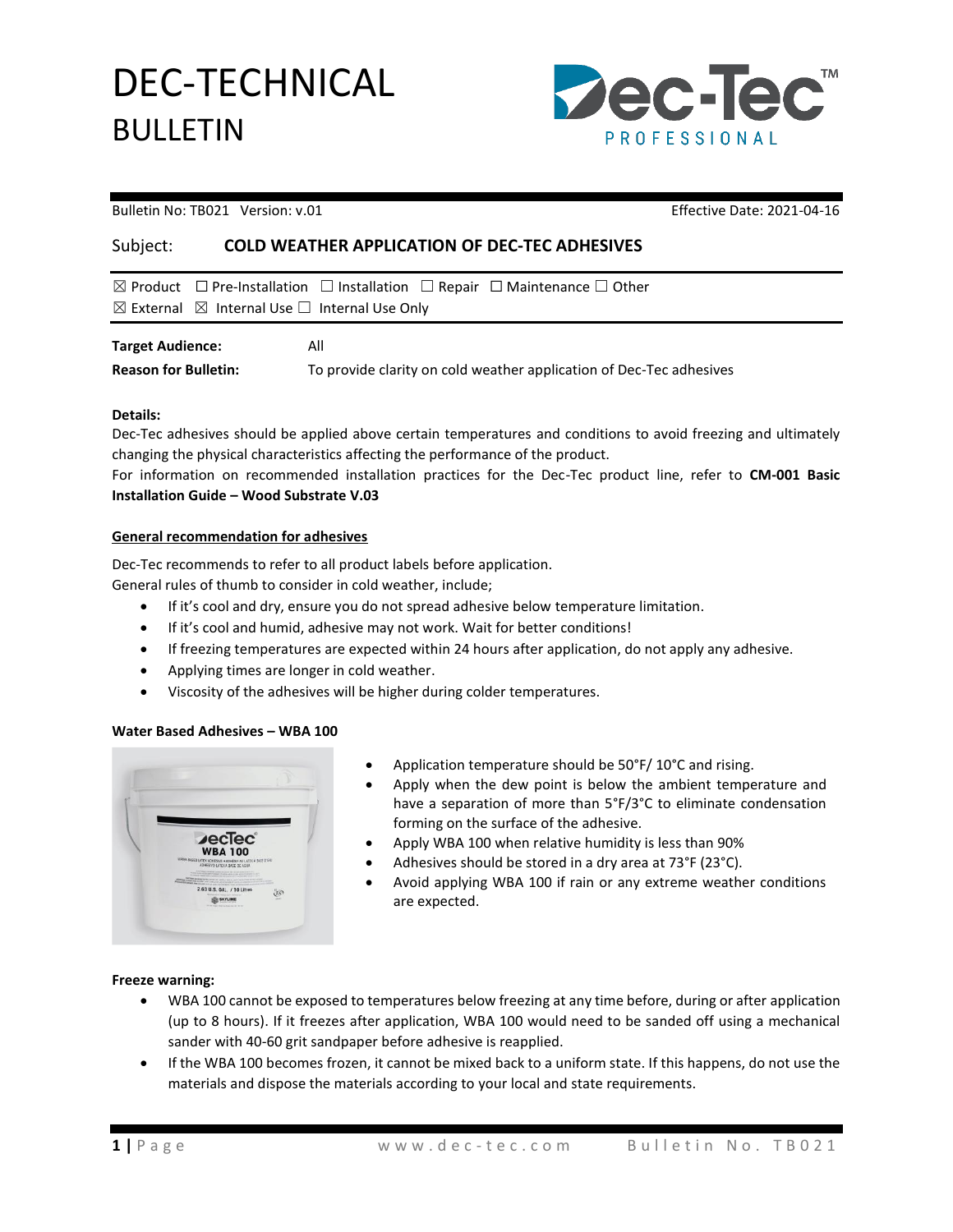DEC-TECHNICAL BULLETIN



Bulletin No: TB021 Version: v.01 Effective Date: 2021-04-16

## Subject: **COLD WEATHER APPLICATION OF DEC-TEC ADHESIVES**

|                                                                        | $\boxtimes$ Product $\Box$ Pre-Installation $\Box$ Installation $\Box$ Repair $\Box$ Maintenance $\Box$ Other |
|------------------------------------------------------------------------|---------------------------------------------------------------------------------------------------------------|
| $\boxtimes$ External $\boxtimes$ Internal Use $\Box$ Internal Use Only |                                                                                                               |
| <b>Target Audience:</b>                                                | All                                                                                                           |

**Reason for Bulletin:** To provide clarity on cold weather application of Dec-Tec adhesives

### **Details:**

Dec-Tec adhesives should be applied above certain temperatures and conditions to avoid freezing and ultimately changing the physical characteristics affecting the performance of the product.

For information on recommended installation practices for the Dec-Tec product line, refer to **CM-001 Basic Installation Guide – Wood Substrate V.03**

#### **General recommendation for adhesives**

Dec-Tec recommends to refer to all product labels before application.

General rules of thumb to consider in cold weather, include;

- If it's cool and dry, ensure you do not spread adhesive below temperature limitation.
- If it's cool and humid, adhesive may not work. Wait for better conditions!
- If freezing temperatures are expected within 24 hours after application, do not apply any adhesive.
- Applying times are longer in cold weather.
- Viscosity of the adhesives will be higher during colder temperatures.

### **Water Based Adhesives – WBA 100**

- Application temperature should be 50°F/ 10°C and rising.
- Apply when the dew point is below the ambient temperature and have a separation of more than 5°F/3°C to eliminate condensation forming on the surface of the adhesive.
- Apply WBA 100 when relative humidity is less than 90%
- Adhesives should be stored in a dry area at 73°F (23°C).
- Avoid applying WBA 100 if rain or any extreme weather conditions are expected.

### **Freeze warning:**

- WBA 100 cannot be exposed to temperatures below freezing at any time before, during or after application (up to 8 hours). If it freezes after application, WBA 100 would need to be sanded off using a mechanical sander with 40-60 grit sandpaper before adhesive is reapplied.
- If the WBA 100 becomes frozen, it cannot be mixed back to a uniform state. If this happens, do not use the materials and dispose the materials according to your local and state requirements.